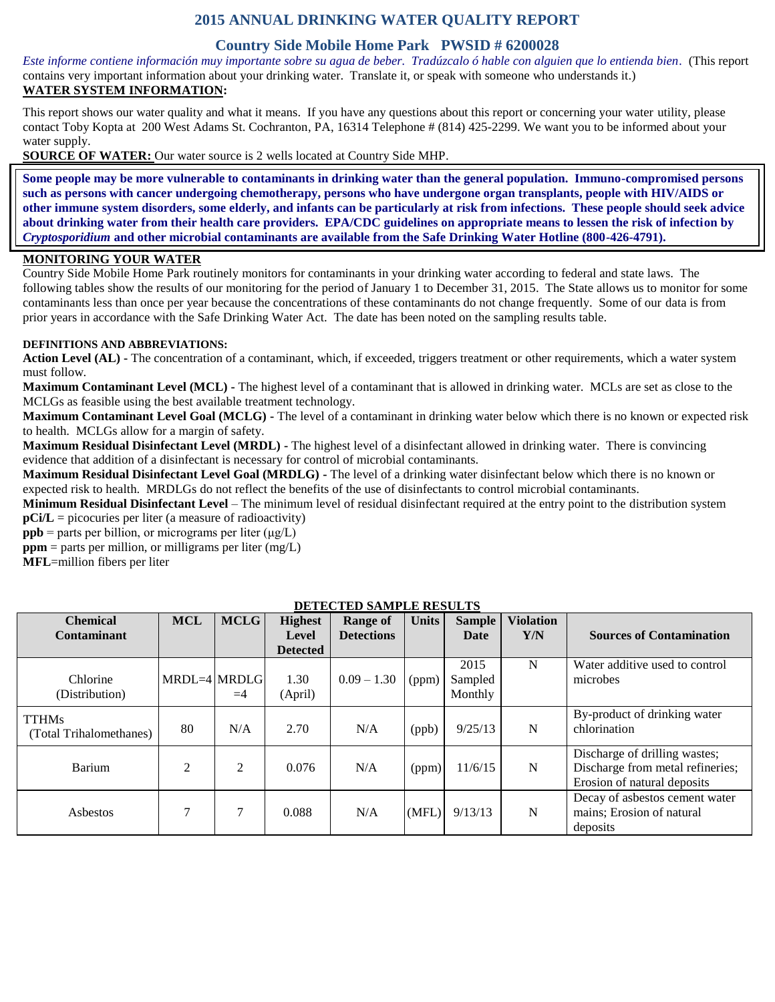## **2015 ANNUAL DRINKING WATER QUALITY REPORT**

## **Country Side Mobile Home Park PWSID # 6200028**

*Este informe contiene información muy importante sobre su agua de beber. Tradúzcalo ó hable con alguien que lo entienda bien.* (This report contains very important information about your drinking water. Translate it, or speak with someone who understands it.) **WATER SYSTEM INFORMATION:**

This report shows our water quality and what it means. If you have any questions about this report or concerning your water utility, please contact Toby Kopta at 200 West Adams St. Cochranton, PA, 16314 Telephone # (814) 425-2299. We want you to be informed about your water supply.

**SOURCE OF WATER:** Our water source is 2 wells located at Country Side MHP.

**Some people may be more vulnerable to contaminants in drinking water than the general population. Immuno-compromised persons such as persons with cancer undergoing chemotherapy, persons who have undergone organ transplants, people with HIV/AIDS or other immune system disorders, some elderly, and infants can be particularly at risk from infections. These people should seek advice about drinking water from their health care providers. EPA/CDC guidelines on appropriate means to lessen the risk of infection by**  *Cryptosporidium* **and other microbial contaminants are available from the Safe Drinking Water Hotline (800-426-4791).**

#### **MONITORING YOUR WATER**

Country Side Mobile Home Park routinely monitors for contaminants in your drinking water according to federal and state laws. The following tables show the results of our monitoring for the period of January 1 to December 31, 2015. The State allows us to monitor for some contaminants less than once per year because the concentrations of these contaminants do not change frequently. Some of our data is from prior years in accordance with the Safe Drinking Water Act. The date has been noted on the sampling results table.

#### **DEFINITIONS AND ABBREVIATIONS:**

**Action Level (AL) -** The concentration of a contaminant, which, if exceeded, triggers treatment or other requirements, which a water system must follow.

**Maximum Contaminant Level (MCL) -** The highest level of a contaminant that is allowed in drinking water. MCLs are set as close to the MCLGs as feasible using the best available treatment technology.

**Maximum Contaminant Level Goal (MCLG) -** The level of a contaminant in drinking water below which there is no known or expected risk to health. MCLGs allow for a margin of safety.

**Maximum Residual Disinfectant Level (MRDL) -** The highest level of a disinfectant allowed in drinking water. There is convincing evidence that addition of a disinfectant is necessary for control of microbial contaminants.

**Maximum Residual Disinfectant Level Goal (MRDLG) -** The level of a drinking water disinfectant below which there is no known or expected risk to health. MRDLGs do not reflect the benefits of the use of disinfectants to control microbial contaminants.

**Minimum Residual Disinfectant Level** – The minimum level of residual disinfectant required at the entry point to the distribution system **pCi/L** = picocuries per liter (a measure of radioactivity)

**ppb** = parts per billion, or micrograms per liter  $(\mu g/L)$ 

 $ppm$  = parts per million, or milligrams per liter (mg/L)

**MFL**=million fibers per liter

| DETECTED SAMILEE RESULTS |              |             |                 |                   |              |               |                  |                                  |
|--------------------------|--------------|-------------|-----------------|-------------------|--------------|---------------|------------------|----------------------------------|
| <b>Chemical</b>          | <b>MCL</b>   | <b>MCLG</b> | <b>Highest</b>  | Range of          | <b>Units</b> | <b>Sample</b> | <b>Violation</b> |                                  |
| Contaminant              |              |             | Level           | <b>Detections</b> |              | Date          | Y/N              | <b>Sources of Contamination</b>  |
|                          |              |             | <b>Detected</b> |                   |              |               |                  |                                  |
|                          |              |             |                 |                   |              | 2015          | N                | Water additive used to control   |
| Chlorine                 | MRDL=4 MRDLG |             | 1.30            | $0.09 - 1.30$     | (ppm)        | Sampled       |                  | microbes                         |
| (Distribution)           |              | $=4$        | (April)         |                   |              | Monthly       |                  |                                  |
| <b>TTHMs</b>             |              |             |                 |                   |              |               |                  | By-product of drinking water     |
| (Total Trihalomethanes)  | 80           | N/A         | 2.70            | N/A               | (ppb)        | 9/25/13       | N                | chlorination                     |
|                          |              |             |                 |                   |              |               |                  | Discharge of drilling wastes;    |
| <b>Barium</b>            | 2            | 2           | 0.076           | N/A               | (ppm)        | 11/6/15       | N                | Discharge from metal refineries; |
|                          |              |             |                 |                   |              |               |                  | Erosion of natural deposits      |
|                          |              |             |                 |                   |              |               |                  | Decay of asbestos cement water   |
| Asbestos                 |              |             | 0.088           | N/A               | (MFL)        | 9/13/13       | N                | mains; Erosion of natural        |
|                          |              |             |                 |                   |              |               |                  | deposits                         |

### **DETECTED SAMPLE RESULTS**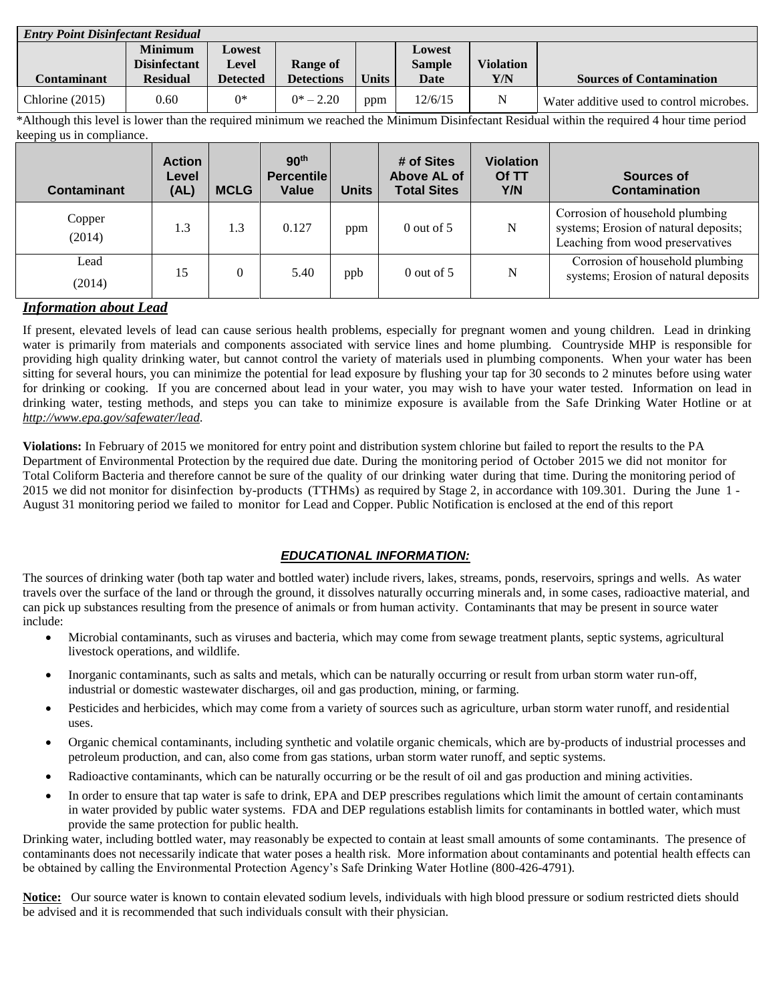| <b>Entry Point Disinfectant Residual</b> |                     |                 |                   |              |               |                  |                                          |  |
|------------------------------------------|---------------------|-----------------|-------------------|--------------|---------------|------------------|------------------------------------------|--|
|                                          | <b>Minimum</b>      | Lowest          |                   |              | Lowest        |                  |                                          |  |
|                                          | <b>Disinfectant</b> | Level           | Range of          |              | <b>Sample</b> | <b>Violation</b> |                                          |  |
| <b>Contaminant</b>                       | <b>Residual</b>     | <b>Detected</b> | <b>Detections</b> | <b>Units</b> | Date          | Y/N              | <b>Sources of Contamination</b>          |  |
| Chlorine $(2015)$                        | 0.60                | $0*$            | $0^*$ – 2.20      | ppm          | 12/6/15       | N                | Water additive used to control microbes. |  |

\*Although this level is lower than the required minimum we reached the Minimum Disinfectant Residual within the required 4 hour time period keeping us in compliance.

| Contaminant      | <b>Action</b><br>Level<br>(AL) | <b>MCLG</b> | 90 <sup>th</sup><br><b>Percentile</b><br>Value | <b>Units</b> | # of Sites<br>Above AL of<br><b>Total Sites</b> | <b>Violation</b><br>Of TT<br>Y/N | Sources of<br><b>Contamination</b>                                                                           |
|------------------|--------------------------------|-------------|------------------------------------------------|--------------|-------------------------------------------------|----------------------------------|--------------------------------------------------------------------------------------------------------------|
| Copper<br>(2014) | 1.3                            | 1.3         | 0.127                                          | ppm          | $0$ out of 5                                    | N                                | Corrosion of household plumbing<br>systems; Erosion of natural deposits;<br>Leaching from wood preservatives |
| Lead<br>(2014)   | 15                             | $\theta$    | 5.40                                           | ppb          | $0$ out of 5                                    | N                                | Corrosion of household plumbing<br>systems; Erosion of natural deposits                                      |

### *Information about Lead*

If present, elevated levels of lead can cause serious health problems, especially for pregnant women and young children. Lead in drinking water is primarily from materials and components associated with service lines and home plumbing. Countryside MHP is responsible for providing high quality drinking water, but cannot control the variety of materials used in plumbing components. When your water has been sitting for several hours, you can minimize the potential for lead exposure by flushing your tap for 30 seconds to 2 minutes before using water for drinking or cooking. If you are concerned about lead in your water, you may wish to have your water tested. Information on lead in drinking water, testing methods, and steps you can take to minimize exposure is available from the Safe Drinking Water Hotline or at *[http://www.epa.gov/safewater/lead.](http://www.epa.gov/safewater/lead)*

**Violations:** In February of 2015 we monitored for entry point and distribution system chlorine but failed to report the results to the PA Department of Environmental Protection by the required due date. During the monitoring period of October 2015 we did not monitor for Total Coliform Bacteria and therefore cannot be sure of the quality of our drinking water during that time. During the monitoring period of 2015 we did not monitor for disinfection by-products (TTHMs) as required by Stage 2, in accordance with 109.301. During the June 1 - August 31 monitoring period we failed to monitor for Lead and Copper. Public Notification is enclosed at the end of this report

## *EDUCATIONAL INFORMATION:*

The sources of drinking water (both tap water and bottled water) include rivers, lakes, streams, ponds, reservoirs, springs and wells. As water travels over the surface of the land or through the ground, it dissolves naturally occurring minerals and, in some cases, radioactive material, and can pick up substances resulting from the presence of animals or from human activity. Contaminants that may be present in source water include:

- Microbial contaminants, such as viruses and bacteria, which may come from sewage treatment plants, septic systems, agricultural livestock operations, and wildlife.
- Inorganic contaminants, such as salts and metals, which can be naturally occurring or result from urban storm water run-off, industrial or domestic wastewater discharges, oil and gas production, mining, or farming.
- Pesticides and herbicides, which may come from a variety of sources such as agriculture, urban storm water runoff, and residential uses.
- Organic chemical contaminants, including synthetic and volatile organic chemicals, which are by-products of industrial processes and petroleum production, and can, also come from gas stations, urban storm water runoff, and septic systems.
- Radioactive contaminants, which can be naturally occurring or be the result of oil and gas production and mining activities.
- In order to ensure that tap water is safe to drink, EPA and DEP prescribes regulations which limit the amount of certain contaminants in water provided by public water systems. FDA and DEP regulations establish limits for contaminants in bottled water, which must provide the same protection for public health.

Drinking water, including bottled water, may reasonably be expected to contain at least small amounts of some contaminants. The presence of contaminants does not necessarily indicate that water poses a health risk. More information about contaminants and potential health effects can be obtained by calling the Environmental Protection Agency's Safe Drinking Water Hotline (800-426-4791).

**Notice:** Our source water is known to contain elevated sodium levels, individuals with high blood pressure or sodium restricted diets should be advised and it is recommended that such individuals consult with their physician.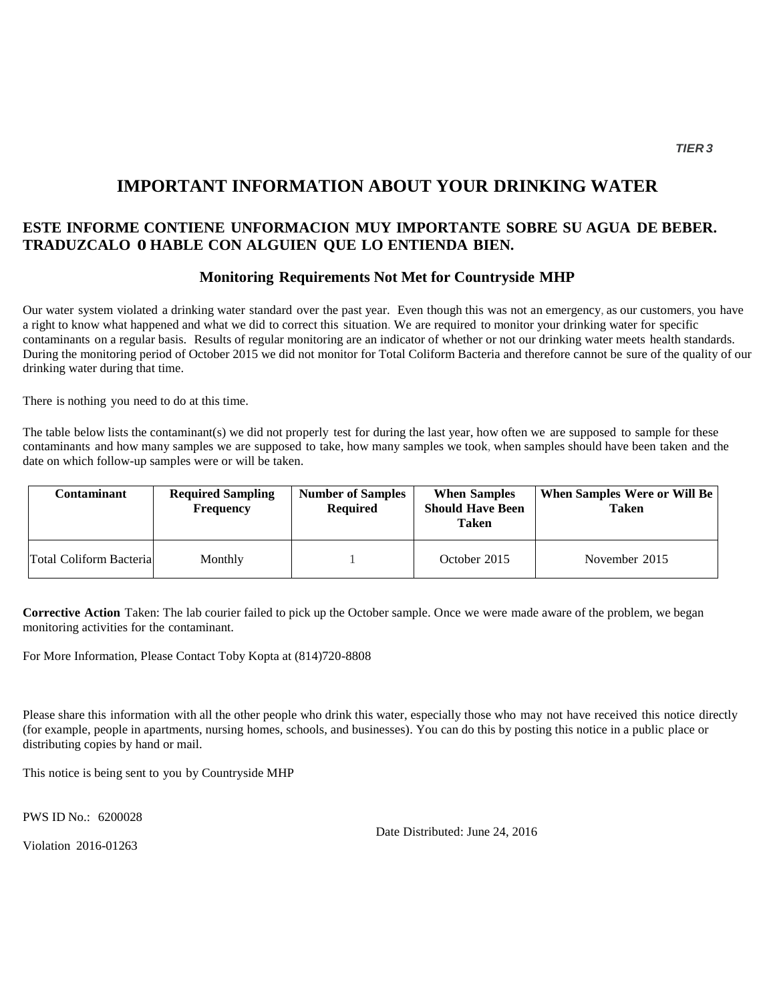# **IMPORTANT INFORMATION ABOUT YOUR DRINKING WATER**

## **ESTE INFORME CONTIENE UNFORMACION MUY IMPORTANTE SOBRE SU AGUA DE BEBER. TRADUZCALO 0 HABLE CON ALGUIEN QUE LO ENTIENDA BIEN.**

### **Monitoring Requirements Not Met for Countryside MHP**

Our water system violated a drinking water standard over the past year. Even though this was not an emergency, as our customers, you have a right to know what happened and what we did to correct this situation. We are required to monitor your drinking water for specific contaminants on a regular basis. Results of regular monitoring are an indicator of whether or not our drinking water meets health standards. During the monitoring period of October 2015 we did not monitor for Total Coliform Bacteria and therefore cannot be sure of the quality of our drinking water during that time.

There is nothing you need to do at this time.

The table below lists the contaminant(s) we did not properly test for during the last year, how often we are supposed to sample for these contaminants and how many samples we are supposed to take, how many samples we took, when samples should have been taken and the date on which follow-up samples were or will be taken.

| Contaminant                     | <b>Required Sampling</b><br><b>Frequency</b> | <b>Number of Samples</b><br><b>Required</b> | <b>When Samples</b><br><b>Should Have Been</b><br>Taken | When Samples Were or Will Be<br><b>Taken</b> |
|---------------------------------|----------------------------------------------|---------------------------------------------|---------------------------------------------------------|----------------------------------------------|
| <b>Total Coliform Bacterial</b> | Monthly                                      |                                             | October 2015                                            | November 2015                                |

**Corrective Action** Taken: The lab courier failed to pick up the October sample. Once we were made aware of the problem, we began monitoring activities for the contaminant.

For More Information, Please Contact Toby Kopta at (814)720-8808

Please share this information with all the other people who drink this water, especially those who may not have received this notice directly (for example, people in apartments, nursing homes, schools, and businesses). You can do this by posting this notice in a public place or distributing copies by hand or mail.

This notice is being sent to you by Countryside MHP

PWS ID No.: 6200028

Violation 2016-01263

Date Distributed: June 24, 2016